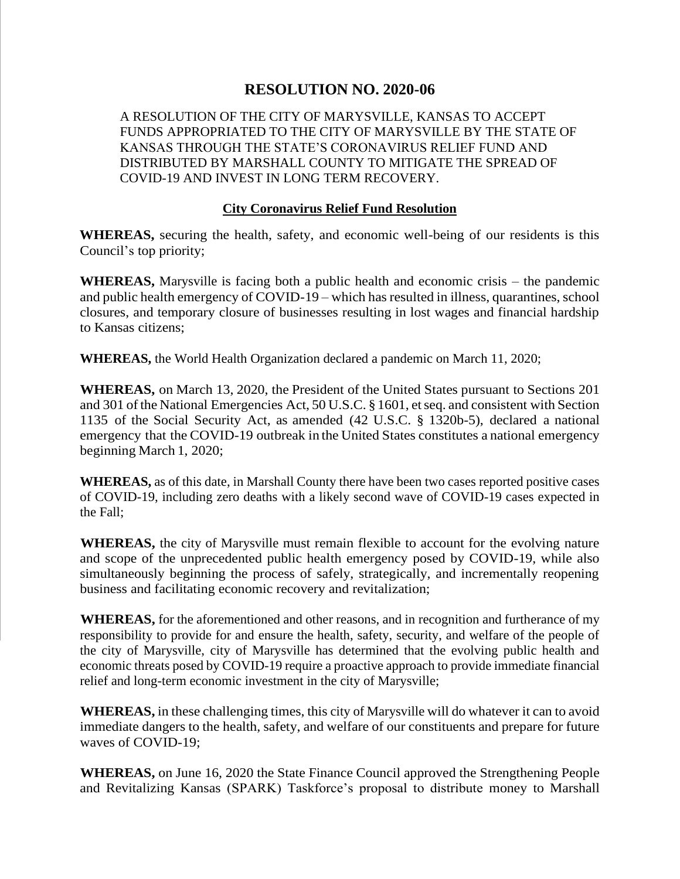## **RESOLUTION NO. 2020-06**

A RESOLUTION OF THE CITY OF MARYSVILLE, KANSAS TO ACCEPT FUNDS APPROPRIATED TO THE CITY OF MARYSVILLE BY THE STATE OF KANSAS THROUGH THE STATE'S CORONAVIRUS RELIEF FUND AND DISTRIBUTED BY MARSHALL COUNTY TO MITIGATE THE SPREAD OF COVID-19 AND INVEST IN LONG TERM RECOVERY.

## **City Coronavirus Relief Fund Resolution**

**WHEREAS,** securing the health, safety, and economic well-being of our residents is this Council's top priority;

**WHEREAS,** Marysville is facing both a public health and economic crisis – the pandemic and public health emergency of COVID-19 – which has resulted in illness, quarantines, school closures, and temporary closure of businesses resulting in lost wages and financial hardship to Kansas citizens;

**WHEREAS,** the World Health Organization declared a pandemic on March 11, 2020;

**WHEREAS,** on March 13, 2020, the President of the United States pursuant to Sections 201 and 301 of the National Emergencies Act, 50 U.S.C. § 1601, et seq. and consistent with Section 1135 of the Social Security Act, as amended (42 U.S.C. § 1320b-5), declared a national emergency that the COVID-19 outbreak in the United States constitutes a national emergency beginning March 1, 2020;

**WHEREAS,** as of this date, in Marshall County there have been two cases reported positive cases of COVID-19, including zero deaths with a likely second wave of COVID-19 cases expected in the Fall;

**WHEREAS,** the city of Marysville must remain flexible to account for the evolving nature and scope of the unprecedented public health emergency posed by COVID-19, while also simultaneously beginning the process of safely, strategically, and incrementally reopening business and facilitating economic recovery and revitalization;

**WHEREAS,** for the aforementioned and other reasons, and in recognition and furtherance of my responsibility to provide for and ensure the health, safety, security, and welfare of the people of the city of Marysville, city of Marysville has determined that the evolving public health and economic threats posed by COVID-19 require a proactive approach to provide immediate financial relief and long-term economic investment in the city of Marysville;

**WHEREAS,** in these challenging times, this city of Marysville will do whatever it can to avoid immediate dangers to the health, safety, and welfare of our constituents and prepare for future waves of COVID-19;

**WHEREAS,** on June 16, 2020 the State Finance Council approved the Strengthening People and Revitalizing Kansas (SPARK) Taskforce's proposal to distribute money to Marshall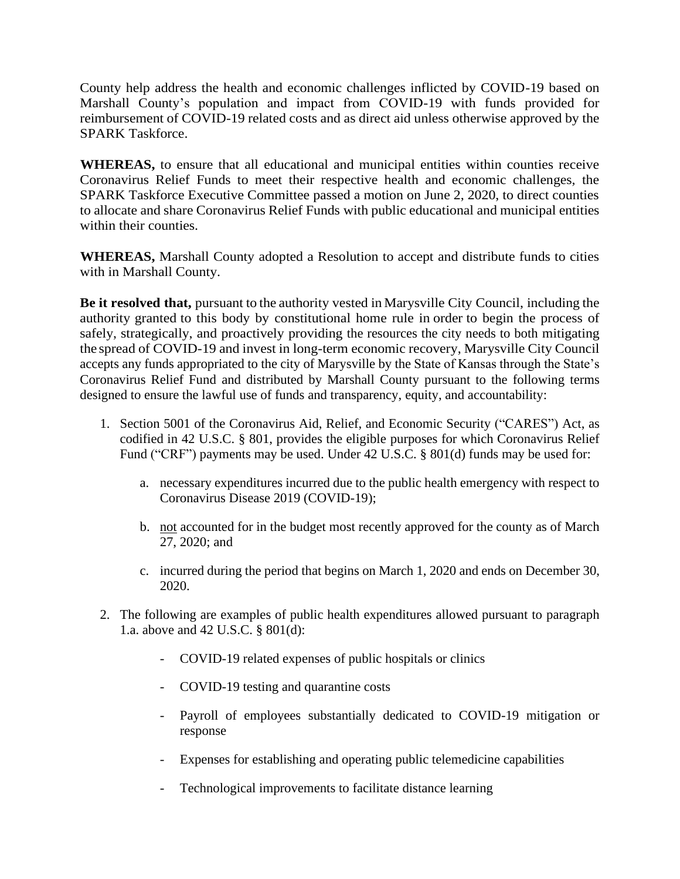County help address the health and economic challenges inflicted by COVID-19 based on Marshall County's population and impact from COVID-19 with funds provided for reimbursement of COVID-19 related costs and as direct aid unless otherwise approved by the SPARK Taskforce.

**WHEREAS,** to ensure that all educational and municipal entities within counties receive Coronavirus Relief Funds to meet their respective health and economic challenges, the SPARK Taskforce Executive Committee passed a motion on June 2, 2020, to direct counties to allocate and share Coronavirus Relief Funds with public educational and municipal entities within their counties.

**WHEREAS,** Marshall County adopted a Resolution to accept and distribute funds to cities with in Marshall County.

**Be it resolved that,** pursuant to the authority vested in Marysville City Council, including the authority granted to this body by constitutional home rule in order to begin the process of safely, strategically, and proactively providing the resources the city needs to both mitigating the spread of COVID-19 and invest in long-term economic recovery, Marysville City Council accepts any funds appropriated to the city of Marysville by the State of Kansas through the State's Coronavirus Relief Fund and distributed by Marshall County pursuant to the following terms designed to ensure the lawful use of funds and transparency, equity, and accountability:

- 1. Section 5001 of the Coronavirus Aid, Relief, and Economic Security ("CARES") Act, as codified in 42 U.S.C. § 801, provides the eligible purposes for which Coronavirus Relief Fund ("CRF") payments may be used. Under 42 U.S.C. § 801(d) funds may be used for:
	- a. necessary expenditures incurred due to the public health emergency with respect to Coronavirus Disease 2019 (COVID-19);
	- b. not accounted for in the budget most recently approved for the county as of March 27, 2020; and
	- c. incurred during the period that begins on March 1, 2020 and ends on December 30, 2020.
- 2. The following are examples of public health expenditures allowed pursuant to paragraph 1.a. above and 42 U.S.C. § 801(d):
	- COVID-19 related expenses of public hospitals or clinics
	- COVID-19 testing and quarantine costs
	- Payroll of employees substantially dedicated to COVID-19 mitigation or response
	- Expenses for establishing and operating public telemedicine capabilities
	- Technological improvements to facilitate distance learning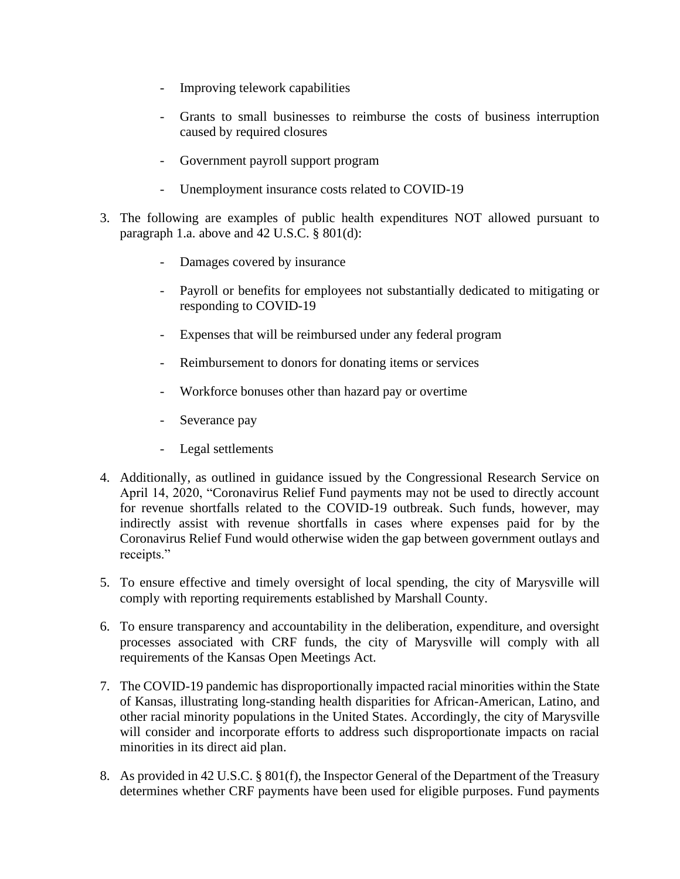- Improving telework capabilities
- Grants to small businesses to reimburse the costs of business interruption caused by required closures
- Government payroll support program
- Unemployment insurance costs related to COVID-19
- 3. The following are examples of public health expenditures NOT allowed pursuant to paragraph 1.a. above and 42 U.S.C. § 801(d):
	- Damages covered by insurance
	- Payroll or benefits for employees not substantially dedicated to mitigating or responding to COVID-19
	- Expenses that will be reimbursed under any federal program
	- Reimbursement to donors for donating items or services
	- Workforce bonuses other than hazard pay or overtime
	- Severance pay
	- Legal settlements
- 4. Additionally, as outlined in guidance issued by the Congressional Research Service on April 14, 2020, "Coronavirus Relief Fund payments may not be used to directly account for revenue shortfalls related to the COVID-19 outbreak. Such funds, however, may indirectly assist with revenue shortfalls in cases where expenses paid for by the Coronavirus Relief Fund would otherwise widen the gap between government outlays and receipts."
- 5. To ensure effective and timely oversight of local spending, the city of Marysville will comply with reporting requirements established by Marshall County.
- 6. To ensure transparency and accountability in the deliberation, expenditure, and oversight processes associated with CRF funds, the city of Marysville will comply with all requirements of the Kansas Open Meetings Act.
- 7. The COVID-19 pandemic has disproportionally impacted racial minorities within the State of Kansas, illustrating long-standing health disparities for African-American, Latino, and other racial minority populations in the United States. Accordingly, the city of Marysville will consider and incorporate efforts to address such disproportionate impacts on racial minorities in its direct aid plan.
- 8. As provided in 42 U.S.C. § 801(f), the Inspector General of the Department of the Treasury determines whether CRF payments have been used for eligible purposes. Fund payments